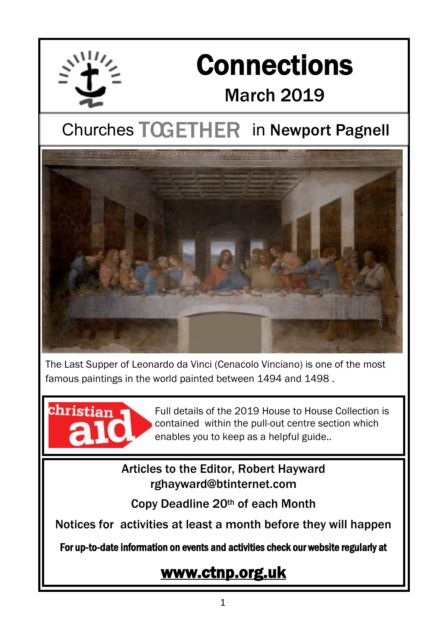

# **Connections** March 2019

# **Churches TOGETHER in Newport Pagnell**



The Last Supper of Leonardo da Vinci (Cenacolo Vinciano) is one of the most famous paintings in the world painted between 1494 and 1498 .



Full details of the 2019 House to House Collection is contained within the pull-out centre section which enables you to keep as a helpful guide..

### Articles to the Editor, Robert Hayward rghayward@btinternet.com

Copy Deadline 20th of each Month

Notices for activities at least a month before they will happen

For up-to-date information on events and activities check our website regularly at

## [www.ctnp.org.uk](http://www.ctnp.org.uk)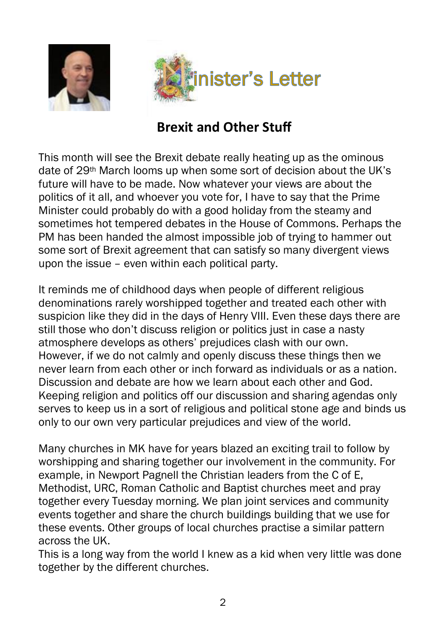



## **Brexit and Other Stuff**

This month will see the Brexit debate really heating up as the ominous date of 29th March looms up when some sort of decision about the UK's future will have to be made. Now whatever your views are about the politics of it all, and whoever you vote for, I have to say that the Prime Minister could probably do with a good holiday from the steamy and sometimes hot tempered debates in the House of Commons. Perhaps the PM has been handed the almost impossible job of trying to hammer out some sort of Brexit agreement that can satisfy so many divergent views upon the issue – even within each political party.

It reminds me of childhood days when people of different religious denominations rarely worshipped together and treated each other with suspicion like they did in the days of Henry VIII. Even these days there are still those who don't discuss religion or politics just in case a nasty atmosphere develops as others' prejudices clash with our own. However, if we do not calmly and openly discuss these things then we never learn from each other or inch forward as individuals or as a nation. Discussion and debate are how we learn about each other and God. Keeping religion and politics off our discussion and sharing agendas only serves to keep us in a sort of religious and political stone age and binds us only to our own very particular prejudices and view of the world.

Many churches in MK have for years blazed an exciting trail to follow by worshipping and sharing together our involvement in the community. For example, in Newport Pagnell the Christian leaders from the C of E, Methodist, URC, Roman Catholic and Baptist churches meet and pray together every Tuesday morning. We plan joint services and community events together and share the church buildings building that we use for these events. Other groups of local churches practise a similar pattern across the UK.

This is a long way from the world I knew as a kid when very little was done together by the different churches.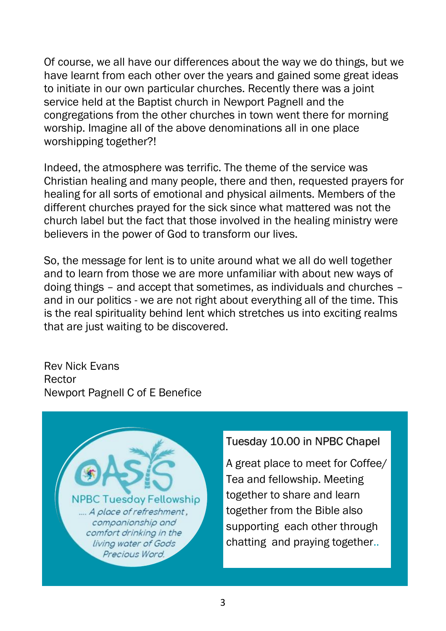Of course, we all have our differences about the way we do things, but we have learnt from each other over the years and gained some great ideas to initiate in our own particular churches. Recently there was a joint service held at the Baptist church in Newport Pagnell and the congregations from the other churches in town went there for morning worship. Imagine all of the above denominations all in one place worshipping together?!

Indeed, the atmosphere was terrific. The theme of the service was Christian healing and many people, there and then, requested prayers for healing for all sorts of emotional and physical ailments. Members of the different churches prayed for the sick since what mattered was not the church label but the fact that those involved in the healing ministry were believers in the power of God to transform our lives.

So, the message for lent is to unite around what we all do well together and to learn from those we are more unfamiliar with about new ways of doing things – and accept that sometimes, as individuals and churches – and in our politics - we are not right about everything all of the time. This is the real spirituality behind lent which stretches us into exciting realms that are just waiting to be discovered.

Rev Nick Evans Rector Newport Pagnell C of E Benefice



### Tuesday 10.00 in NPBC Chapel

A great place to meet for Coffee/ Tea and fellowship. Meeting together to share and learn together from the Bible also supporting each other through chatting and praying together..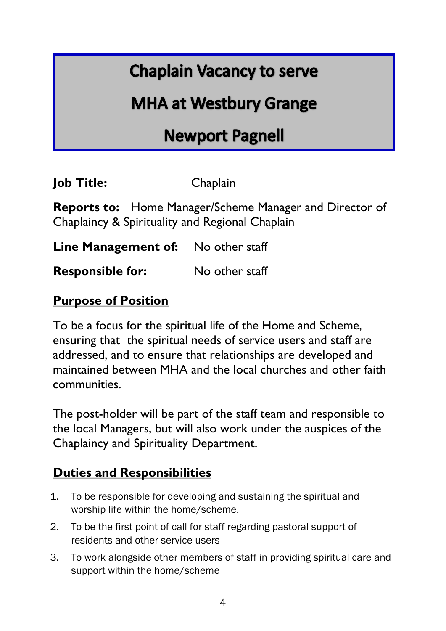## **Chaplain Vacancy to serve**

## **MHA at Westbury Grange**

## **Newport Pagnell**

**Job Title:** Chaplain

**Reports to:** Home Manager/Scheme Manager and Director of Chaplaincy & Spirituality and Regional Chaplain

**Line Management of:** No other staff

**Responsible for:** No other staff

### **Purpose of Position**

To be a focus for the spiritual life of the Home and Scheme, ensuring that the spiritual needs of service users and staff are addressed, and to ensure that relationships are developed and maintained between MHA and the local churches and other faith communities.

The post-holder will be part of the staff team and responsible to the local Managers, but will also work under the auspices of the Chaplaincy and Spirituality Department.

### **Duties and Responsibilities**

- 1. To be responsible for developing and sustaining the spiritual and worship life within the home/scheme.
- 2. To be the first point of call for staff regarding pastoral support of residents and other service users
- 3. To work alongside other members of staff in providing spiritual care and support within the home/scheme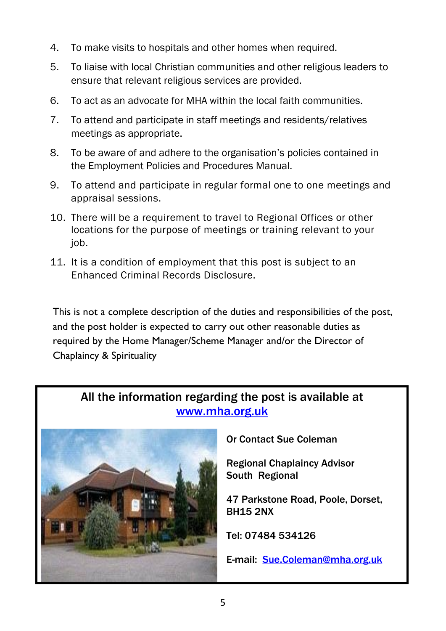- 4. To make visits to hospitals and other homes when required.
- 5. To liaise with local Christian communities and other religious leaders to ensure that relevant religious services are provided.
- 6. To act as an advocate for MHA within the local faith communities.
- 7. To attend and participate in staff meetings and residents/relatives meetings as appropriate.
- 8. To be aware of and adhere to the organisation's policies contained in the Employment Policies and Procedures Manual.
- 9. To attend and participate in regular formal one to one meetings and appraisal sessions.
- 10. There will be a requirement to travel to Regional Offices or other locations for the purpose of meetings or training relevant to your job.
- 11. It is a condition of employment that this post is subject to an Enhanced Criminal Records Disclosure.

This is not a complete description of the duties and responsibilities of the post, and the post holder is expected to carry out other reasonable duties as required by the Home Manager/Scheme Manager and/or the Director of Chaplaincy & Spirituality

### All the information regarding the post is available at [www.mha.org.uk](http://www.mha.org.uk)



Or Contact Sue Coleman

Regional Chaplaincy Advisor South Regional

47 Parkstone Road, Poole, Dorset, BH15 2NX

Tel: 07484 534126

E-mail: [Sue.Coleman@mha.org.uk](mailto:Sue.Coleman@mha.org.uk)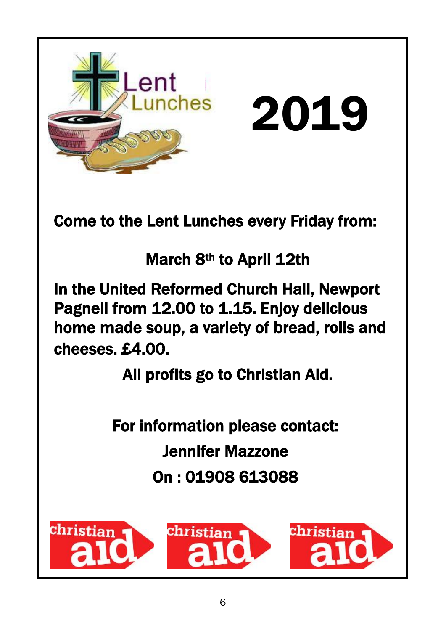

For information please contact:

Jennifer Mazzone

On : 01908 613088

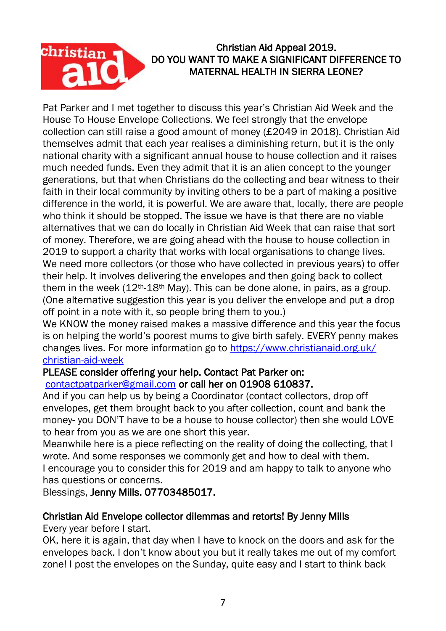

#### Christian Aid Appeal 2019. DO YOU WANT TO MAKE A SIGNIFICANT DIFFERENCE TO MATERNAL HEALTH IN SIERRA LEONE?

Pat Parker and I met together to discuss this year's Christian Aid Week and the House To House Envelope Collections. We feel strongly that the envelope collection can still raise a good amount of money (£2049 in 2018). Christian Aid themselves admit that each year realises a diminishing return, but it is the only national charity with a significant annual house to house collection and it raises much needed funds. Even they admit that it is an alien concept to the younger generations, but that when Christians do the collecting and bear witness to their faith in their local community by inviting others to be a part of making a positive difference in the world, it is powerful. We are aware that, locally, there are people who think it should be stopped. The issue we have is that there are no viable alternatives that we can do locally in Christian Aid Week that can raise that sort of money. Therefore, we are going ahead with the house to house collection in 2019 to support a charity that works with local organisations to change lives. We need more collectors (or those who have collected in previous years) to offer their help. It involves delivering the envelopes and then going back to collect them in the week  $(12<sup>th</sup>-18<sup>th</sup>$  May). This can be done alone, in pairs, as a group. (One alternative suggestion this year is you deliver the envelope and put a drop off point in a note with it, so people bring them to you.)

We KNOW the money raised makes a massive difference and this year the focus is on helping the world's poorest mums to give birth safely. EVERY penny makes changes lives. For more information go to [https://www.christianaid.org.uk/](https://www.christianaid.org.uk/christian-aid-week) [christian-aid-week](https://www.christianaid.org.uk/christian-aid-week)

#### PLEASE consider offering your help. Contact Pat Parker on: [contactpatparker@gmail.com](mailto:contactpatparker@gmail.com) or call her on 01908 610837.

And if you can help us by being a Coordinator (contact collectors, drop off envelopes, get them brought back to you after collection, count and bank the money- you DON'T have to be a house to house collector) then she would LOVE to hear from you as we are one short this year.

Meanwhile here is a piece reflecting on the reality of doing the collecting, that I wrote. And some responses we commonly get and how to deal with them.

I encourage you to consider this for 2019 and am happy to talk to anyone who has questions or concerns.

Blessings, Jenny Mills. 07703485017.

### Christian Aid Envelope collector dilemmas and retorts! By Jenny Mills

Every year before I start.

OK, here it is again, that day when I have to knock on the doors and ask for the envelopes back. I don't know about you but it really takes me out of my comfort zone! I post the envelopes on the Sunday, quite easy and I start to think back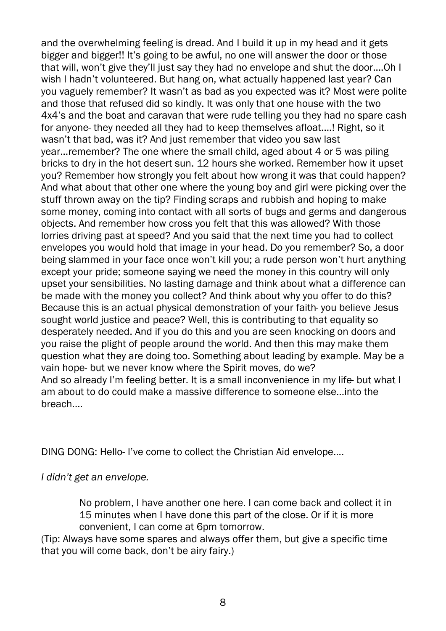and the overwhelming feeling is dread. And I build it up in my head and it gets bigger and bigger!! It's going to be awful, no one will answer the door or those that will, won't give they'll just say they had no envelope and shut the door....Oh I wish I hadn't volunteered. But hang on, what actually happened last year? Can you vaguely remember? It wasn't as bad as you expected was it? Most were polite and those that refused did so kindly. It was only that one house with the two 4x4's and the boat and caravan that were rude telling you they had no spare cash for anyone- they needed all they had to keep themselves afloat....! Right, so it wasn't that bad, was it? And just remember that video you saw last year...remember? The one where the small child, aged about 4 or 5 was piling bricks to dry in the hot desert sun. 12 hours she worked. Remember how it upset you? Remember how strongly you felt about how wrong it was that could happen? And what about that other one where the young boy and girl were picking over the stuff thrown away on the tip? Finding scraps and rubbish and hoping to make some money, coming into contact with all sorts of bugs and germs and dangerous objects. And remember how cross you felt that this was allowed? With those lorries driving past at speed? And you said that the next time you had to collect envelopes you would hold that image in your head. Do you remember? So, a door being slammed in your face once won't kill you; a rude person won't hurt anything except your pride; someone saying we need the money in this country will only upset your sensibilities. No lasting damage and think about what a difference can be made with the money you collect? And think about why you offer to do this? Because this is an actual physical demonstration of your faith- you believe Jesus sought world justice and peace? Well, this is contributing to that equality so desperately needed. And if you do this and you are seen knocking on doors and you raise the plight of people around the world. And then this may make them question what they are doing too. Something about leading by example. May be a vain hope- but we never know where the Spirit moves, do we? And so already I'm feeling better. It is a small inconvenience in my life- but what I am about to do could make a massive difference to someone else...into the breach....

DING DONG: Hello- I've come to collect the Christian Aid envelope....

*I didn't get an envelope.*

No problem, I have another one here. I can come back and collect it in 15 minutes when I have done this part of the close. Or if it is more convenient, I can come at 6pm tomorrow.

(Tip: Always have some spares and always offer them, but give a specific time that you will come back, don't be airy fairy.)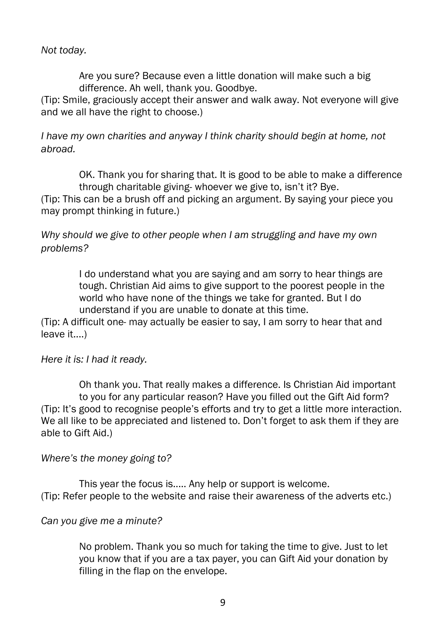*Not today.*

Are you sure? Because even a little donation will make such a big difference. Ah well, thank you. Goodbye.

(Tip: Smile, graciously accept their answer and walk away. Not everyone will give and we all have the right to choose.)

*I have my own charities and anyway I think charity should begin at home, not abroad.*

OK. Thank you for sharing that. It is good to be able to make a difference through charitable giving- whoever we give to, isn't it? Bye.

(Tip: This can be a brush off and picking an argument. By saying your piece you may prompt thinking in future.)

*Why should we give to other people when I am struggling and have my own problems?*

> I do understand what you are saying and am sorry to hear things are tough. Christian Aid aims to give support to the poorest people in the world who have none of the things we take for granted. But I do understand if you are unable to donate at this time.

(Tip: A difficult one- may actually be easier to say, I am sorry to hear that and leave it....)

*Here it is: I had it ready.*

Oh thank you. That really makes a difference. Is Christian Aid important to you for any particular reason? Have you filled out the Gift Aid form? (Tip: It's good to recognise people's efforts and try to get a little more interaction. We all like to be appreciated and listened to. Don't forget to ask them if they are able to Gift Aid.)

#### *Where's the money going to?*

This year the focus is..... Any help or support is welcome. (Tip: Refer people to the website and raise their awareness of the adverts etc.)

#### *Can you give me a minute?*

No problem. Thank you so much for taking the time to give. Just to let you know that if you are a tax payer, you can Gift Aid your donation by filling in the flap on the envelope.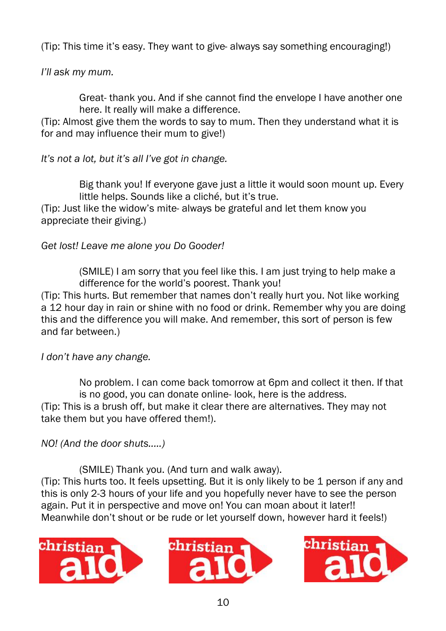(Tip: This time it's easy. They want to give- always say something encouraging!)

*I'll ask my mum.*

Great- thank you. And if she cannot find the envelope I have another one here. It really will make a difference.

(Tip: Almost give them the words to say to mum. Then they understand what it is for and may influence their mum to give!)

*It's not a lot, but it's all I've got in change.*

Big thank you! If everyone gave just a little it would soon mount up. Every little helps. Sounds like a cliché, but it's true.

(Tip: Just like the widow's mite- always be grateful and let them know you appreciate their giving.)

*Get lost! Leave me alone you Do Gooder!*

(SMILE) I am sorry that you feel like this. I am just trying to help make a difference for the world's poorest. Thank you!

(Tip: This hurts. But remember that names don't really hurt you. Not like working a 12 hour day in rain or shine with no food or drink. Remember why you are doing this and the difference you will make. And remember, this sort of person is few and far between.)

*I don't have any change.*

No problem. I can come back tomorrow at 6pm and collect it then. If that is no good, you can donate online- look, here is the address. (Tip: This is a brush off, but make it clear there are alternatives. They may not take them but you have offered them!).

*NO! (And the door shuts.....)*

(SMILE) Thank you. (And turn and walk away).

(Tip: This hurts too. It feels upsetting. But it is only likely to be 1 person if any and this is only 2-3 hours of your life and you hopefully never have to see the person again. Put it in perspective and move on! You can moan about it later!! Meanwhile don't shout or be rude or let yourself down, however hard it feels!)





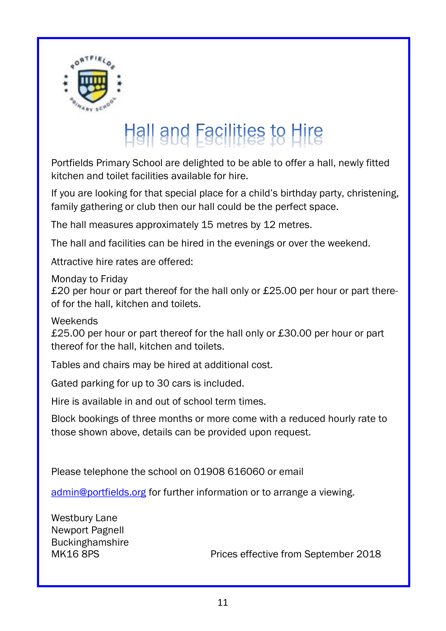

# Hall and Facilities to Hire

Portfields Primary School are delighted to be able to offer a hall, newly fitted kitchen and toilet facilities available for hire.

If you are looking for that special place for a child's birthday party, christening, family gathering or club then our hall could be the perfect space.

The hall measures approximately 15 metres by 12 metres.

The hall and facilities can be hired in the evenings or over the weekend.

Attractive hire rates are offered:

Monday to Friday

£20 per hour or part thereof for the hall only or £25.00 per hour or part thereof for the hall, kitchen and toilets.

Weekends

£25.00 per hour or part thereof for the hall only or £30.00 per hour or part thereof for the hall, kitchen and toilets.

Tables and chairs may be hired at additional cost.

Gated parking for up to 30 cars is included.

Hire is available in and out of school term times.

Block bookings of three months or more come with a reduced hourly rate to those shown above, details can be provided upon request.

Please telephone the school on 01908 616060 or email

[admin@portfields.org](mailto:admin@portfields.org) for further information or to arrange a viewing.

Westbury Lane Newport Pagnell Buckinghamshire

MK16 8PS Prices effective from September 2018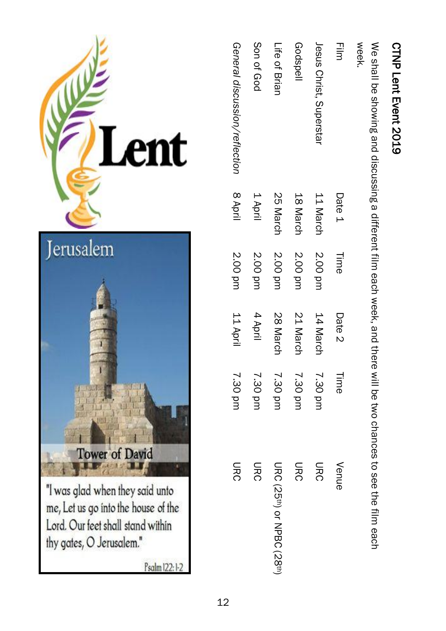| ı<br>I<br>í<br>¢<br>ł<br>ľ |  |
|----------------------------|--|
|                            |  |

| CTNP Lent Event 2019                                                                                              |        |      |             |       |
|-------------------------------------------------------------------------------------------------------------------|--------|------|-------------|-------|
| We shall be arowing and discussing a different film each week, and there will be two chances to see the film each |        |      |             |       |
| week                                                                                                              |        |      |             |       |
| 픻                                                                                                                 | Date 1 | Time | Date 2 Time | Venue |

| 三三                            | Date 1   | Time    | Date 2   | Time    | Venue                     |
|-------------------------------|----------|---------|----------|---------|---------------------------|
| Jesus Christ, Superstar       | 11 March | 2.00 pm | 14 March | 7.30 pm | <b>DRC</b>                |
| Godspell                      | 18 March | 2.00 pm | 21 March | 7.30 pm | <b>DRC</b>                |
| Life of Brial                 | 25 March | 2.00 pm | 28 March | 7.30 pm | URC (25th) or NPBC (28th) |
| Son of God                    | 1 April  | 2.00 pm | 4 April  | 7.30 pm | <b>DRC</b>                |
| General discussion/reflection | 8 April  | 2.00 pm | 11 April | 7.30 pm | <b>DRC</b>                |

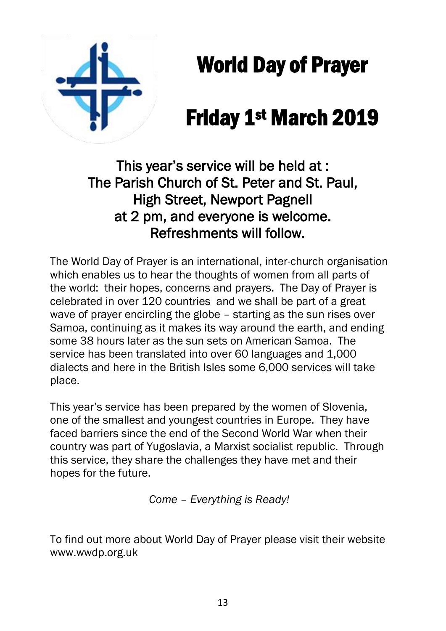

World Day of Prayer

# Friday 1st March 2019

This year's service will be held at : The Parish Church of St. Peter and St. Paul, High Street, Newport Pagnell at 2 pm, and everyone is welcome. Refreshments will follow.

The World Day of Prayer is an international, inter-church organisation which enables us to hear the thoughts of women from all parts of the world: their hopes, concerns and prayers. The Day of Prayer is celebrated in over 120 countries and we shall be part of a great wave of prayer encircling the globe – starting as the sun rises over Samoa, continuing as it makes its way around the earth, and ending some 38 hours later as the sun sets on American Samoa. The service has been translated into over 60 languages and 1,000 dialects and here in the British Isles some 6,000 services will take place.

This year's service has been prepared by the women of Slovenia, one of the smallest and youngest countries in Europe. They have faced barriers since the end of the Second World War when their country was part of Yugoslavia, a Marxist socialist republic. Through this service, they share the challenges they have met and their hopes for the future.

*Come – Everything is Ready!*

To find out more about World Day of Prayer please visit their website [www.wwdp.org.uk](http://www.wwdp.org.uk/)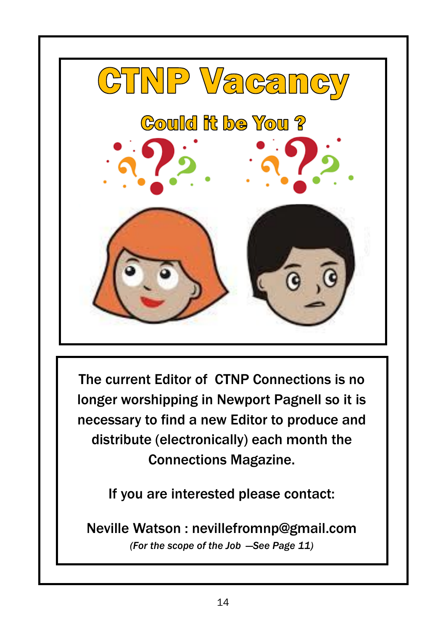

The current Editor of CTNP Connections is no longer worshipping in Newport Pagnell so it is necessary to find a new Editor to produce and distribute (electronically) each month the Connections Magazine.

If you are interested please contact:

Neville Watson : nevillefromnp@gmail.com *(For the scope of the Job —See Page 11)*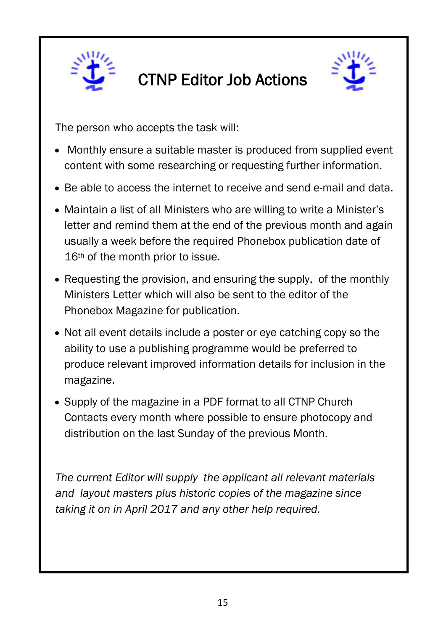

# CTNP Editor Job Actions



The person who accepts the task will:

- Monthly ensure a suitable master is produced from supplied event content with some researching or requesting further information.
- Be able to access the internet to receive and send e-mail and data.
- Maintain a list of all Ministers who are willing to write a Minister's letter and remind them at the end of the previous month and again usually a week before the required Phonebox publication date of 16<sup>th</sup> of the month prior to issue.
- Requesting the provision, and ensuring the supply, of the monthly Ministers Letter which will also be sent to the editor of the Phonebox Magazine for publication.
- Not all event details include a poster or eye catching copy so the ability to use a publishing programme would be preferred to produce relevant improved information details for inclusion in the magazine.
- Supply of the magazine in a PDF format to all CTNP Church Contacts every month where possible to ensure photocopy and distribution on the last Sunday of the previous Month.

*The current Editor will supply the applicant all relevant materials and layout masters plus historic copies of the magazine since taking it on in April 2017 and any other help required.*